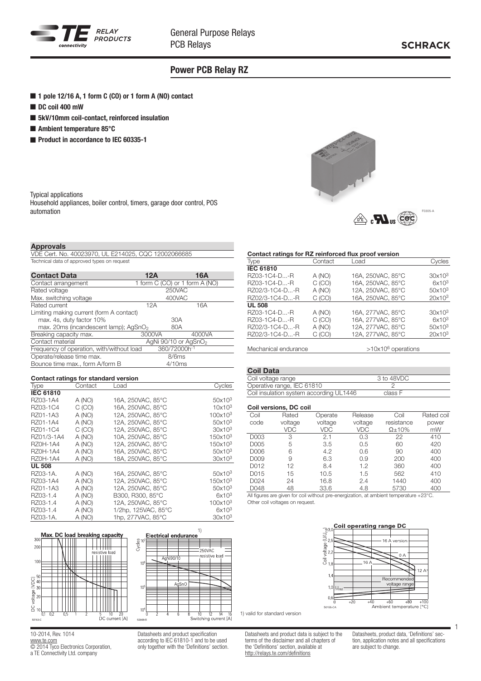

## Power PCB Relay RZ

- 1 pole 12/16 A, 1 form C (CO) or 1 form A (NO) contact
- DC coil 400 mW
- 5kV/10mm coil-contact, reinforced insulation
- Ambient temperature 85°C
- Product in accordance to IEC 60335-1



#### **Approvals**

automation

Typical applications

| .                                                   |  |
|-----------------------------------------------------|--|
| VDE Cert. No. 40023970, UL E214025, CQC 12002066685 |  |
| Technical data of approved types on request         |  |

Household appliances, boiler control, timers, garage door control, POS

| <b>Contact Data</b>                               | 12A    | 16A                              |  |
|---------------------------------------------------|--------|----------------------------------|--|
| Contact arrangement                               |        | 1 form C (CO) or 1 form A (NO)   |  |
| Rated voltage                                     |        | 250VAC                           |  |
| Max. switching voltage                            |        | 400VAC                           |  |
| Rated current                                     | 12A    | 16A                              |  |
| Limiting making current (form A contact)          |        |                                  |  |
| max. 4s, duty factor 10%                          |        | 30A                              |  |
| max. 20ms (incandescent lamp); AgSnO <sub>2</sub> |        | 80A                              |  |
| Breaking capacity max.                            | 3000VA | 4000VA                           |  |
| Contact material                                  |        | AgNi 90/10 or AgSnO <sub>2</sub> |  |
| Frequency of operation, with/without load         |        | 360/72000h-1                     |  |
| Operate/release time max.                         |        | 8/6ms                            |  |
| Bounce time max., form A/form B                   |        | 4/10ms                           |  |
|                                                   |        |                                  |  |

| Contact ratings for standard version |         |                     |                     |  |  |  |
|--------------------------------------|---------|---------------------|---------------------|--|--|--|
| <b>Type</b>                          | Contact | Load                | Cycles              |  |  |  |
| <b>IEC 61810</b>                     |         |                     |                     |  |  |  |
| RZ03-1A4                             | A (NO)  | 16A, 250VAC, 85°C   | 50x10 <sup>3</sup>  |  |  |  |
| RZ03-1C4                             | C (CO)  | 16A. 250VAC. 85°C   | 10x10 <sup>3</sup>  |  |  |  |
| RZ01-1A3                             | A (NO)  | 12A. 250VAC. 85°C   | 100x10 <sup>3</sup> |  |  |  |
| RZ01-1A4                             | A (NO)  | 12A, 250VAC, 85°C   | 50x10 <sup>3</sup>  |  |  |  |
| RZ01-1C4                             | C (CO)  | 12A, 250VAC, 85°C   | 30x10 <sup>3</sup>  |  |  |  |
| RZ01/3-1A4                           | A (NO)  | 10A. 250VAC. 85°C   | 150x10 <sup>3</sup> |  |  |  |
| <b>RZ0H-1A4</b>                      | A (NO)  | 12A. 250VAC. 85°C   | 150x10 <sup>3</sup> |  |  |  |
| <b>RZ0H-1A4</b>                      | A (NO)  | 16A. 250VAC. 85°C   | 50x10 <sup>3</sup>  |  |  |  |
| <b>RZ0H-1A4</b>                      | A (NO)  | 18A. 250VAC. 85°C   | 30x10 <sup>3</sup>  |  |  |  |
| <b>UL 508</b>                        |         |                     |                     |  |  |  |
| RZ03-1A.                             | A (NO)  | 16A, 250VAC, 85°C   | 50x10 <sup>3</sup>  |  |  |  |
| RZ03-1A4                             | A (NO)  | 12A, 250VAC, 85°C   | 150x10 <sup>3</sup> |  |  |  |
| RZ01-1A3                             | A (NO)  | 12A. 250VAC. 85°C   | 50x10 <sup>3</sup>  |  |  |  |
| RZ03-1.4                             | A (NO)  | B300, R300, 85°C    | 6x10 <sup>3</sup>   |  |  |  |
| RZ03-1.4                             | A (NO)  | 12A, 250VAC, 85°C   | 100x10 <sup>3</sup> |  |  |  |
| RZ03-1.4                             | A (NO)  | 1/2hp, 125VAC, 85°C | 6x10 <sup>3</sup>   |  |  |  |
| RZ03-1A.                             | A (NO)  | 1hp, 277VAC, 85°C   | 30x10 <sup>3</sup>  |  |  |  |



10-2014, Rev. 1014 www.te.com © 2014 Tyco Electronics Corporation, a TE Connectivity Ltd. company

Datasheets and product specification according to IEC 61810-1 and to be used only together with the 'Definitions' section.

 $rac{1}{14}$ 

### Contact ratings for RZ reinforced flux proof version

| <b>Type</b>      | Contact | Load              | Cvcles             |
|------------------|---------|-------------------|--------------------|
| <b>IEC 61810</b> |         |                   |                    |
| RZ03-1C4-D-R     | A (NO)  | 16A, 250VAC, 85°C | 30x10 <sup>3</sup> |
| RZ03-1C4-D-R     | C (CO)  | 16A. 250VAC. 85°C | $6x10^3$           |
| RZ02/3-1C4-D-R   | A (NO)  | 12A. 250VAC. 85°C | $50x10^3$          |
| RZ02/3-1C4-D-R   | C(CO)   | 16A, 250VAC, 85°C | 20x10 <sup>3</sup> |
| <b>UL 508</b>    |         |                   |                    |
| RZ03-1C4-D-R     | A (NO)  | 16A, 277VAC, 85°C | 30x10 <sup>3</sup> |
| RZ03-1C4-D-R     | C(CO)   | 16A, 277VAC, 85°C | 6x10 <sup>3</sup>  |
| RZ02/3-1C4-D-R   | A (NO)  | 12A, 277VAC, 85°C | 50x10 <sup>3</sup> |
| RZ02/3-1C4-D-R   | C(CO)   | 12A, 277VAC, 85°C | $20x10^3$          |
|                  |         |                   |                    |

Mechanical endurance  $>10x10^6$  operations

#### Coil Data

| Coil voltage range                      | 3 to 48VDC |
|-----------------------------------------|------------|
| Operative range, IEC 61810              |            |
| Coil insulation system according UL1446 | class F    |

#### Coil versions, DC coil

| Coil | Rated      | Operate    | Release    | Coil           | Rated coil |
|------|------------|------------|------------|----------------|------------|
|      |            |            |            |                |            |
| code | voltage    | voltage    | voltage    | resistance     | power      |
|      | <b>VDC</b> | <b>VDC</b> | <b>VDC</b> | $\Omega$ + 10% | mW         |
| D003 | 3          | 2.1        | 0.3        | 22             | 410        |
| D005 | 5          | 3.5        | 0.5        | 60             | 420        |
| D006 | 6          | 4.2        | 0.6        | 90             | 400        |
| D009 | 9          | 6.3        | 0.9        | 200            | 400        |
| D012 | 12         | 8.4        | 1.2        | 360            | 400        |
| D015 | 15         | 10.5       | 1.5        | 562            | 410        |
| D024 | 24         | 16.8       | 2.4        | 1440           | 400        |
| D048 | 48         | 33.6       | 4.8        | 5730           | 400        |

All figures are given for coil without pre-energization, at ambient temperature +23°C. Other coil voltages on request.



1) valid for standard version

Datasheets and product data is subject to the terms of the disclaimer and all chapters of the 'Definitions' section, available at http://relays.te.com/definitions

Datasheets, product data, 'Definitions' section, application notes and all specifications are subject to change.

1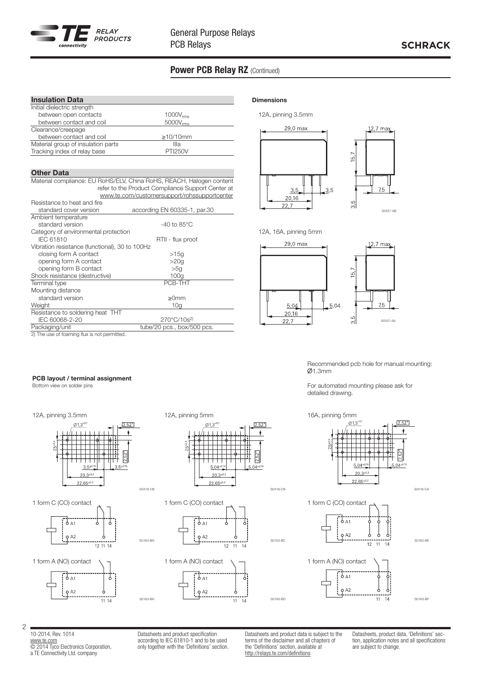

## Power PCB Relay RZ (Continued)

| <b>Insulation Data</b>             |                      |  |
|------------------------------------|----------------------|--|
| Initial dielectric strength        |                      |  |
| between open contacts              | $1000V_{rms}$        |  |
| between contact and coil           | $5000V_{\text{rms}}$ |  |
| Clearance/creepage                 |                      |  |
| between contact and coil           | $\geq$ 10/10mm       |  |
| Material group of insulation parts | Illa                 |  |
| Tracking index of relay base       | <b>PTI250V</b>       |  |

### **Other Data**

Material compliance: EU RoHS/ELV, China RoHS, REACH, Halogen content refer to the Product Compliance Support Center at www.te.com/customersupport/rohssupportcenter

| Resistance to heat and fire                    |                                   |
|------------------------------------------------|-----------------------------------|
| standard cover version                         | according EN 60335-1, par.30      |
| Ambient temperature                            |                                   |
| standard version                               | $-40$ to 85 $^{\circ}$ C          |
| Category of environmental protection           |                                   |
| <b>IEC 61810</b>                               | RTII - flux proof                 |
| Vibration resistance (functional), 30 to 100Hz |                                   |
| closing form A contact                         | >15q                              |
| opening form A contact                         | >20q                              |
| opening form B contact                         | >50                               |
| Shock resistance (destructive)                 | 100q                              |
| Terminal type                                  | PCB-THT                           |
| Mounting distance                              |                                   |
| standard version                               | ≥0mm                              |
| Weight                                         | 10 <sub>q</sub>                   |
| Resistance to soldering heat THT               |                                   |
| IEC 60068-2-20                                 | $270^{\circ}$ C/10s <sup>2)</sup> |
| Packaging/unit                                 | tube/20 pcs., box/500 pcs.        |
| 2) The use of foaming flux is not permitted.   |                                   |

#### **Dimensions**

12A, pinning 3.5mm





12A, 16A, pinning 5mm



Recommended pcb hole for manual mounting:  $Ø1.3mm$ 

For automated mounting please ask for detailed drawing.

16A, pinning 5mm



10-2014, Rev. 1014 www.te.com © 2014 Tyco Electronics Corporation, a TE Connectivity Ltd. company

2

Datasheets and product specification according to IEC 61810-1 and to be used only together with the 'Definitions' section.

S0163-BG

S0163-BH

Datasheets and product data is subject to the terms of the disclaimer and all chapters of the 'Definitions' section, available at http://relays.te.com/definitions

S0163-BC

S0163-BD

Datasheets, product data, 'Definitions' section, application notes and all specifications are subject to change.

### Bottom view on solder pins





12 11 14









PCB layout / terminal assignment